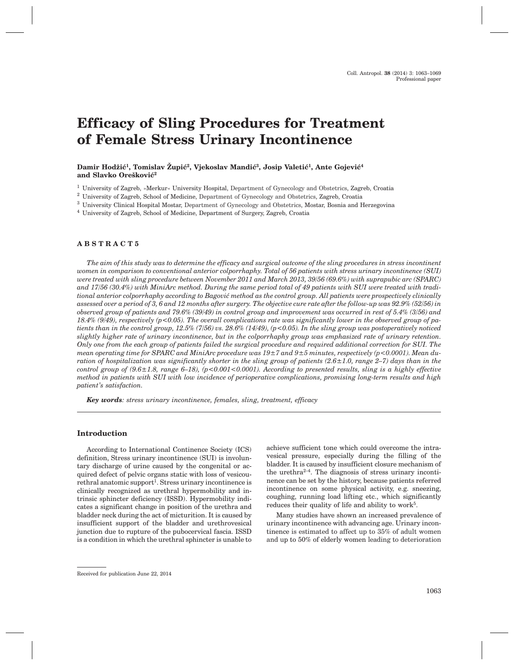# **Efficacy of Sling Procedures for Treatment of Female Stress Urinary Incontinence**

### Damir Hodžić<sup>1</sup>, Tomislav Župić<sup>2</sup>, Vjekoslav Mandić<sup>3</sup>, Josip Valetić<sup>1</sup>, Ante Gojević<sup>4</sup> and Slavko Orešković<sup>2</sup>

<sup>1</sup> University of Zagreb, »Merkur« University Hospital, Department of Gynecology and Obstetrics, Zagreb, Croatia

<sup>2</sup> University of Zagreb, School of Medicine, Department of Gynecology and Obstetrics, Zagreb, Croatia

<sup>3</sup> University Clinical Hospital Mostar, Department of Gynecology and Obstetrics, Mostar, Bosnia and Herzegovina

<sup>4</sup> University of Zagreb, School of Medicine, Department of Surgery, Zagreb, Croatia

#### **ABSTRACT5**

*The aim of this study was to determine the efficacy and surgical outcome of the sling procedures in stress incontinent women in comparison to conventional anterior colporrhaphy. Total of 56 patients with stress urinary incontinence (SUI) were treated with sling procedure between November 2011 and March 2013, 39/56 (69.6%) with suprapubic arc (SPARC) and 17/56 (30.4%) with MiniArc method. During the same period total of 49 patients with SUI were treated with tradi*tional anterior colporrhaphy according to Bagović method as the control group. All patients were prospectively clinically *assessed over a period of 3, 6 and 12 months after surgery. The objective cure rate after the follow-up was 92.9% (52/56) in observed group of patients and 79.6% (39/49) in control group and improvement was occurred in rest of 5.4% (3/56) and 18.4% (9/49), respectively (p<0.05). The overall complications rate was significantly lower in the observed group of patients than in the control group, 12.5% (7/56) vs. 28.6% (14/49), (p<0.05). In the sling group was postoperatively noticed slightly higher rate of urinary incontinence, but in the colporrhaphy group was emphasized rate of urinary retention. Only one from the each group of patients failed the surgical procedure and required additional correction for SUI. The mean operating time for SPARC and MiniArc procedure was 19±7 and 9±5 minutes, respectively (p<0.0001). Mean duration of hospitalization was significantly shorter in the sling group of patients (2.6±1.0, range 2–7) days than in the control group of (9.6±1.8, range 6–18), (p<0.001<0.0001). According to presented results, sling is a highly effective method in patients with SUI with low incidence of perioperative complications, promising long-term results and high patient's satisfaction.*

*Key words: stress urinary incontinence, females, sling, treatment, efficacy*

# **Introduction**

According to International Continence Society (ICS) definition, Stress urinary incontinence (SUI) is involuntary discharge of urine caused by the congenital or acquired defect of pelvic organs static with loss of vesicourethral anatomic support<sup>1</sup>. Stress urinary incontinence is clinically recognized as urethral hypermobility and intrinsic sphincter deficiency (ISSD). Hypermobility indicates a significant change in position of the urethra and bladder neck during the act of micturition. It is caused by insufficient support of the bladder and urethrovesical junction due to rupture of the pubocervical fascia. ISSD is a condition in which the urethral sphincter is unable to

Many studies have shown an increased prevalence of urinary incontinence with advancing age. Urinary incontinence is estimated to affect up to 35% of adult women and up to 50% of elderly women leading to deterioration

achieve sufficient tone which could overcome the intravesical pressure, especially during the filling of the bladder. It is caused by insufficient closure mechanism of the urethra<sup> $2-4$ </sup>. The diagnosis of stress urinary incontinence can be set by the history, because patients referred incontinence on some physical activity, e.g. sneezing, coughing, running load lifting etc., which significantly reduces their quality of life and ability to work5.

Received for publication June 22, 2014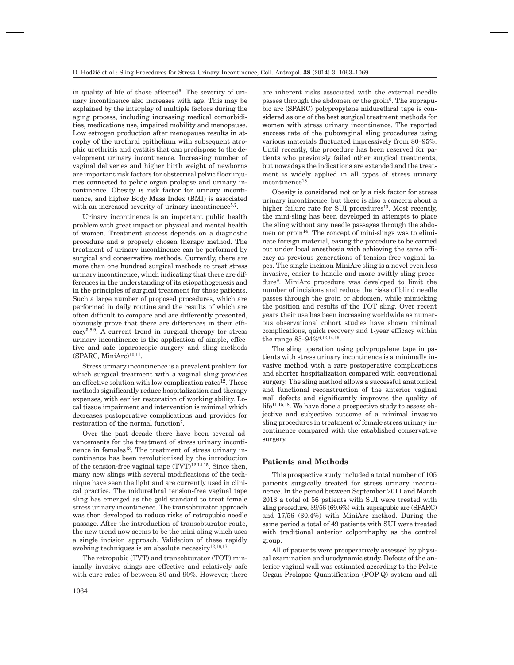in quality of life of those affected $6$ . The severity of urinary incontinence also increases with age. This may be explained by the interplay of multiple factors during the aging process, including increasing medical comorbidities, medications use, impaired mobility and menopause. Low estrogen production after menopause results in atrophy of the urethral epithelium with subsequent atrophic urethritis and cystitis that can predispose to the development urinary incontinence. Increasing number of vaginal deliveries and higher birth weight of newborns are important risk factors for obstetrical pelvic floor injuries connected to pelvic organ prolapse and urinary incontinence. Obesity is risk factor for urinary incontinence, and higher Body Mass Index (BMI) is associated with an increased severity of urinary incontinence<sup>5,7</sup>.

Urinary incontinence is an important public health problem with great impact on physical and mental health of women. Treatment success depends on a diagnostic procedure and a properly chosen therapy method. The treatment of urinary incontinence can be performed by surgical and conservative methods. Currently, there are more than one hundred surgical methods to treat stress urinary incontinence, which indicating that there are differences in the understanding of its etiopathogenesis and in the principles of surgical treatment for those patients. Such a large number of proposed procedures, which are performed in daily routine and the results of which are often difficult to compare and are differently presented, obviously prove that there are differences in their efficacy5,8,9. A current trend in surgical therapy for stress urinary incontinence is the application of simple, effective and safe laparoscopic surgery and sling methods  $(SPARC, MiniArc)<sup>10,11</sup>$ .

Stress urinary incontinence is a prevalent problem for which surgical treatment with a vaginal sling provides an effective solution with low complication rates<sup>12</sup>. These methods significantly reduce hospitalization and therapy expenses, with earlier restoration of working ability. Local tissue impairment and intervention is minimal which decreases postoperative complications and provides for restoration of the normal function7.

Over the past decade there have been several advancements for the treatment of stress urinary incontinence in females<sup>13</sup>. The treatment of stress urinary incontinence has been revolutionized by the introduction of the tension-free vaginal tape  $(TVT)^{12,14,15}$ . Since then, many new slings with several modifications of the technique have seen the light and are currently used in clinical practice. The midurethral tension-free vaginal tape sling has emerged as the gold standard to treat female stress urinary incontinence. The transobturator approach was then developed to reduce risks of retropubic needle passage. After the introduction of transobturator route, the new trend now seems to be the mini-sling which uses a single incision approach. Validation of these rapidly evolving techniques is an absolute necessity<sup>12,16,17</sup>.

The retropubic (TVT) and transobturator (TOT) minimally invasive slings are effective and relatively safe with cure rates of between 80 and 90%. However, there

are inherent risks associated with the external needle passes through the abdomen or the groin<sup>6</sup>. The suprapubic arc (SPARC) polypropylene midurethral tape is considered as one of the best surgical treatment methods for women with stress urinary incontinence. The reported success rate of the pubovaginal sling procedures using various materials fluctuated impressively from 80–95%. Until recently, the procedure has been reserved for patients who previously failed other surgical treatments, but nowadays the indications are extended and the treatment is widely applied in all types of stress urinary incontinence<sup>18</sup>.

Obesity is considered not only a risk factor for stress urinary incontinence, but there is also a concern about a higher failure rate for SUI procedures<sup>19</sup>. Most recently, the mini-sling has been developed in attempts to place the sling without any needle passages through the abdomen or groin<sup>14</sup>. The concept of mini-slings was to eliminate foreign material, easing the procedure to be carried out under local anesthesia with achieving the same efficacy as previous generations of tension free vaginal tapes. The single incision MiniArc sling is a novel even less invasive, easier to handle and more swiftly sling procedure9. MiniArc procedure was developed to limit the number of incisions and reduce the risks of blind needle passes through the groin or abdomen, while mimicking the position and results of the TOT sling. Over recent years their use has been increasing worldwide as numerous observational cohort studies have shown minimal complications, quick recovery and 1-year efficacy within the range 85–94%6,12,14,16.

The sling operation using polypropylene tape in patients with stress urinary incontinence is a minimally invasive method with a rare postoperative complications and shorter hospitalization compared with conventional surgery. The sling method allows a successful anatomical and functional reconstruction of the anterior vaginal wall defects and significantly improves the quality of life<sup>11,15,18</sup>. We have done a prospective study to assess objective and subjective outcome of a minimal invasive sling procedures in treatment of female stress urinary incontinence compared with the established conservative surgery.

#### **Patients and Methods**

This prospective study included a total number of 105 patients surgically treated for stress urinary incontinence. In the period between September 2011 and March 2013 a total of 56 patients with SUI were treated with sling procedure, 39/56 (69.6%) with suprapubic arc (SPARC) and 17/56 (30.4%) with MiniArc method. During the same period a total of 49 patients with SUI were treated with traditional anterior colporrhaphy as the control group.

All of patients were preoperatively assessed by physical examination and urodynamic study. Defects of the anterior vaginal wall was estimated according to the Pelvic Organ Prolapse Quantification (POP-Q) system and all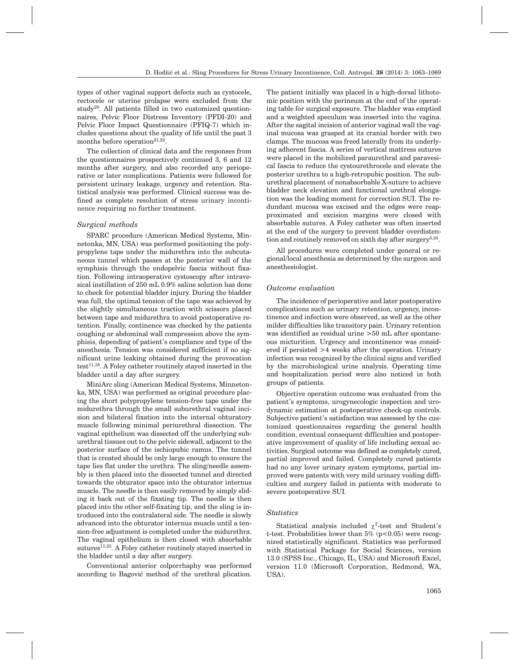types of other vaginal support defects such as cystocele, rectocele or uterine prolapse were excluded from the study<sup>20</sup>. All patients filled in two customized questionnaires, Pelvic Floor Distress Inventory (PFDI-20) and Pelvic Floor Impact Questionnaire (PFIQ-7) which includes questions about the quality of life until the past 3 months before operation<sup>21,22</sup>.

The collection of clinical data and the responses from the questionnaires prospectively continued 3, 6 and 12 months after surgery, and also recorded any perioperative or later complications. Patients were followed for persistent urinary leakage, urgency and retention. Statistical analysis was performed. Clinical success was defined as complete resolution of stress urinary incontinence requiring no further treatment.

#### *Surgical methods*

SPARC procedure (American Medical Systems, Minnetonka, MN, USA) was performed positioning the polypropylene tape under the midurethra into the subcutaneous tunnel which passes at the posterior wall of the symphisis through the endopelvic fascia without fixation. Following intraoperative cystoscopy after intravesical instillation of 250 mL 0.9% saline solution has done to check for potential bladder injury. During the bladder was full, the optimal tension of the tape was achieved by the slightly simultaneous traction with scissors placed between tape and midurethra to avoid postoperative retention. Finally, continence was checked by the patients coughing or abdominal wall compression above the symphisis, depending of patient's compliance and type of the anesthesia. Tension was considered sufficient if no significant urine leaking obtained during the provocation  $test<sup>11,18</sup>$ . A Foley catheter routinely stayed inserted in the bladder until a day after surgery.

MiniArc sling (American Medical Systems, Minnetonka, MN, USA) was performed as original procedure placing the short polypropylene tension-free tape under the midurethra through the small suburethral vaginal incision and bilateral fixation into the internal obturatory muscle following minimal periurethral dissection. The vaginal epithelium was dissected off the underlying suburethral tissues out to the pelvic sidewall, adjacent to the posterior surface of the ischiopubic ramus. The tunnel that is created should be only large enough to ensure the tape lies flat under the urethra. The sling/needle assembly is then placed into the dissected tunnel and directed towards the obturator space into the obturator internus muscle. The needle is then easily removed by simply sliding it back out of the fixating tip. The needle is then placed into the other self-fixating tip, and the sling is introduced into the contralateral side. The needle is slowly advanced into the obturator internus muscle until a tension-free adjustment is completed under the midurethra. The vaginal epithelium is then closed with absorbable sutures<sup>11,23</sup>. A Foley catheter routinely stayed inserted in the bladder until a day after surgery.

Conventional anterior colporrhaphy was performed according to Bagović method of the urethral plication. The patient initially was placed in a high-dorsal lithotomic position with the perineum at the end of the operating table for surgical exposure. The bladder was emptied and a weighted speculum was inserted into the vagina. After the sagital incision of anterior vaginal wall the vaginal mucosa was grasped at its cranial border with two clamps. The mucosa was freed laterally from its underlying adherent fascia. A series of vertical mattress sutures were placed in the mobilized paraurethral and paravesical fascia to reduce the cystourethrocele and elevate the posterior urethra to a high-retropubic position. The suburethral placement of nonabsorbable X-suture to achieve bladder neck elevation and functional urethral elongation was the leading moment for correction SUI. The redundant mucosa was excised and the edges were reapproximated and excision margins were closed with absorbable sutures. A Foley catheter was often inserted at the end of the surgery to prevent bladder overdistention and routinely removed on sixth day after surgery<sup>5,24</sup>.

All procedures were completed under general or regional/local anesthesia as determined by the surgeon and anesthesiologist.

#### *Outcome evaluation*

The incidence of perioperative and later postoperative complications such as urinary retention, urgency, incontinence and infection were observed, as well as the other milder difficulties like transitory pain. Urinary retention was identified as residual urine >50 mL after spontaneous micturition. Urgency and incontinence was considered if persisted >4 weeks after the operation. Urinary infection was recognized by the clinical signs and verified by the microbiological urine analysis. Operating time and hospitalization period were also noticed in both groups of patients.

Objective operation outcome was evaluated from the patient's symptoms, urogynecologic inspection and urodynamic estimation at postoperative check-up controls. Subjective patient's satisfaction was assessed by the customized questionnaires regarding the general health condition, eventual consequent difficulties and postoperative improvement of quality of life including sexual activities. Surgical outcome was defined as completely cured, partial improved and failed. Completely cured patients had no any lover urinary system symptoms, partial improved were patents with very mild urinary voiding difficulties and surgery failed in patients with moderate to severe postoperative SUI.

# *Statistics*

Statistical analysis included  $\chi^2$ -test and Student's t-test. Probabilities lower than  $5\%$  (p<0.05) were recognized statistically significant. Statistics was performed with Statistical Package for Social Sciences, version 13.0 (SPSS Inc., Chicago, IL, USA) and Microsoft Excel, version 11.0 (Microsoft Corporation, Redmond, WA, USA).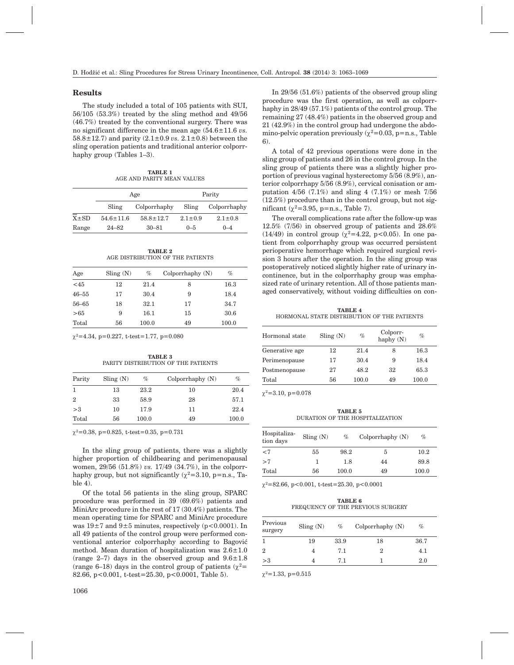#### **Results**

The study included a total of 105 patients with SUI, 56/105 (53.3%) treated by the sling method and 49/56 (46.7%) treated by the conventional surgery. There was no significant difference in the mean age (54.6±11.6 *vs.* 58.8±12.7) and parity (2.1±0.9 *vs.* 2.1±0.8) between the sling operation patients and traditional anterior colporrhaphy group (Tables 1–3).

**TABLE 1** AGE AND PARITY MEAN VALUES

|            |                 | Age             | Parity        |               |  |
|------------|-----------------|-----------------|---------------|---------------|--|
|            | Sling           | Colporrhaphy    | Sling         | Colporrhaphy  |  |
| $X \pm SD$ | $54.6 \pm 11.6$ | $58.8 \pm 12.7$ | $2.1 \pm 0.9$ | $2.1 \pm 0.8$ |  |
| Range      | $24 - 82$       | $30 - 81$       | $0 - 5$       | $0 - 4$       |  |

**TABLE 2** AGE DISTRIBUTION OF THE PATIENTS

| Age       | $\text{Sling} (N)$ | $\%$  | Colporrhaphy(N) | $\%$  |
|-----------|--------------------|-------|-----------------|-------|
| < 45      | 12                 | 21.4  | 8               | 16.3  |
| $46 - 55$ | 17                 | 30.4  | 9               | 18.4  |
| $56 - 65$ | 18                 | 32.1  | 17              | 34.7  |
| > 65      | 9                  | 16.1  | 15              | 30.6  |
| Total     | 56                 | 100.0 | 49              | 100.0 |

 $\gamma^2$ =4.34, p=0.227, t-test=1.77, p=0.080

**TABLE 3** PARITY DISTRIBUTION OF THE PATIENTS

| Parity         | $\text{Sling}(\text{N})$ | $\%$  | Colporrhaphy(N) | %     |
|----------------|--------------------------|-------|-----------------|-------|
| 1              | 13                       | 23.2  | 10              | 20.4  |
| $\overline{2}$ | 33                       | 58.9  | 28              | 57.1  |
| >3             | 10                       | 17.9  | 11              | 22.4  |
| Total          | 56                       | 100.0 | 49              | 100.0 |

 $\chi^2$ =0.38, p=0.825, t-test=0.35, p=0.731

In the sling group of patients, there was a slightly higher proportion of childbearing and perimenopausal women, 29/56 (51.8%) *vs.* 17/49 (34.7%), in the colporrhaphy group, but not significantly ( $\chi^2$ =3.10, p=n.s., Table 4).

Of the total 56 patients in the sling group, SPARC procedure was performed in 39 (69.6%) patients and MiniArc procedure in the rest of 17 (30.4%) patients. The mean operating time for SPARC and MiniArc procedure was  $19\pm7$  and  $9\pm5$  minutes, respectively (p<0.0001). In all 49 patients of the control group were performed conventional anterior colporrhaphy according to Bagović method. Mean duration of hospitalization was  $2.6 \pm 1.0$ (range 2–7) days in the observed group and  $9.6 \pm 1.8$ (range 6–18) days in the control group of patients ( $\gamma^2$ = 82.66, p<0.001, t-test=25.30, p<0.0001, Table 5).

In 29/56 (51.6%) patients of the observed group sling procedure was the first operation, as well as colporrhaphy in 28/49 (57.1%) patients of the control group. The remaining 27 (48.4%) patients in the observed group and 21 (42.9%) in the control group had undergone the abdomino-pelvic operation previously ( $\chi^2$ =0.03, p=n.s., Table 6).

A total of 42 previous operations were done in the sling group of patients and 26 in the control group. In the sling group of patients there was a slightly higher proportion of previous vaginal hysterectomy 5/56 (8.9%), anterior colporrhapy 5/56 (8.9%), cervical conisation or amputation  $4/56$  (7.1%) and sling 4 (7.1%) or mesh 7/56 (12.5%) procedure than in the control group, but not significant ( $\chi^2$ =3.95, p=n.s., Table 7).

The overall complications rate after the follow-up was 12.5% (7/56) in observed group of patients and 28.6% (14/49) in control group ( $\chi^2$ =4.22, p<0.05). In one patient from colporrhaphy group was occurred persistent perioperative hemorrhage which required surgical revision 3 hours after the operation. In the sling group was postoperatively noticed slightly higher rate of urinary incontinence, but in the colporrhaphy group was emphasized rate of urinary retention. All of those patients managed conservatively, without voiding difficulties on con-

**TABLE 4** HORMONAL STATE DISTRIBUTION OF THE PATIENTS

| Hormonal state | $\text{Sling} (N)$ | %     | Colporr-<br>haphy $(N)$ | $\%$  |
|----------------|--------------------|-------|-------------------------|-------|
| Generative age | 12                 | 21.4  | 8                       | 16.3  |
| Perimenopause  | 17                 | 30.4  | 9                       | 18.4  |
| Postmenopause  | 27                 | 48.2  | 32                      | 65.3  |
| Total          | 56                 | 100.0 | 49                      | 100.0 |

 $\chi^2$ =3.10, p=0.078

**TABLE 5** DURATION OF THE HOSPITALIZATION

| Hospitaliza-<br>tion days | $\text{Sling}(\text{N})$ | $\%$  | Colporrhaphy(N) | $\%$  |
|---------------------------|--------------------------|-------|-----------------|-------|
| ${<}7$                    | 55                       | 98.2  | Ð               | 10.2  |
| >7                        | 1                        | 1.8   | 44              | 89.8  |
| Total                     | 56                       | 100.0 | 49              | 100.0 |

 $\chi^2$ =82.66, p<0.001, t-test=25.30, p<0.0001

**TABLE 6** FREQUENCY OF THE PREVIOUS SURGERY

| Previous<br>surgery | $\text{Sling}(\mathbf{N})$ | $\%$ | Colporrhaphy $(N)$ | %       |
|---------------------|----------------------------|------|--------------------|---------|
|                     | 19                         | 33.9 | 18                 | 36.7    |
| 2                   | 4                          | 7.1  | 2                  | 4.1     |
| >3                  | 4                          | 71   |                    | $2.0\,$ |

 $\chi^2$ =1.33, p=0.515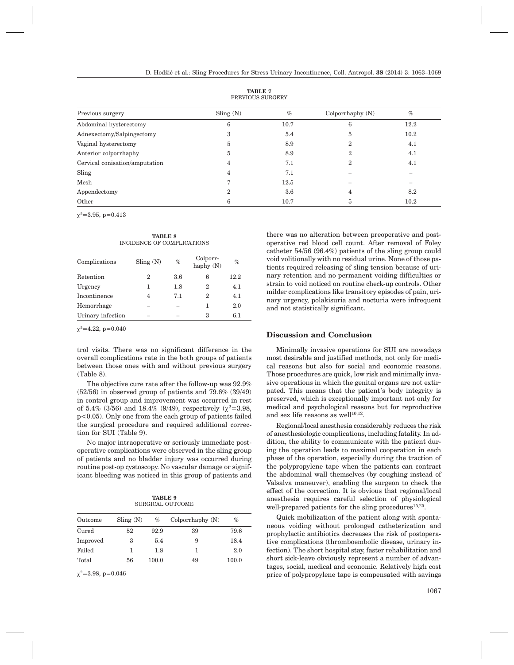| Previous surgery               | Sling(N)     | $\%$ | Colporrhaphy $(N)$ | $\%$ |
|--------------------------------|--------------|------|--------------------|------|
| Abdominal hysterectomy         | 6            | 10.7 | 6                  | 12.2 |
| Adnexectomy/Salpingectomy      | 3            | 5.4  | 5                  | 10.2 |
| Vaginal hysterectomy           | <sub>3</sub> | 8.9  | 2                  | 4.1  |
| Anterior colporrhaphy          | <sub>3</sub> | 8.9  | 2                  | 4.1  |
| Cervical conisation/amputation |              | 7.1  | 2                  | 4.1  |
| Sling                          | 4            | 7.1  |                    |      |
| Mesh                           |              | 12.5 |                    |      |
| Appendectomy                   | ິ            | 3.6  | 4                  | 8.2  |
| Other                          |              | 10.7 | 5                  | 10.2 |

**TABLE 7** PREVIOUS SURGERY

 $\chi^2$ =3.95, p=0.413

**TABLE 8** INCIDENCE OF COMPLICATIONS

| Complications     | Sling(N) | $\%$ | Colporr-<br>haphy (N) | %    |
|-------------------|----------|------|-----------------------|------|
| Retention         | 2        | 3.6  | 6                     | 12.2 |
| Urgency           |          | 1.8  | 2                     | 4.1  |
| Incontinence      | 4        | 7.1  | 2                     | 4.1  |
| Hemorrhage        |          |      |                       | 2.0  |
| Urinary infection |          |      | 3                     | 6.1  |

 $\chi^2$ =4.22, p=0.040

trol visits. There was no significant difference in the overall complications rate in the both groups of patients between those ones with and without previous surgery (Table 8).

The objective cure rate after the follow-up was 92.9% (52/56) in observed group of patients and 79.6% (39/49) in control group and improvement was occurred in rest of 5.4% (3/56) and 18.4% (9/49), respectively ( $\gamma^2$ =3.98, p<0.05). Only one from the each group of patients failed the surgical procedure and required additional correction for SUI (Table 9).

No major intraoperative or seriously immediate postoperative complications were observed in the sling group of patients and no bladder injury was occurred during routine post-op cystoscopy. No vascular damage or significant bleeding was noticed in this group of patients and

**TABLE 9** SURGICAL OUTCOME

| Outcome  | $\text{Sling} (N)$ | $\%$  | Colporrhaphy(N) | %     |
|----------|--------------------|-------|-----------------|-------|
| Cured    | 52                 | 92.9  | 39              | 79.6  |
| Improved | з                  | 5.4   | 9               | 18.4  |
| Failed   |                    | 1.8   |                 | 2.0   |
| Total    | 56                 | 100.0 | 49              | 100.0 |
|          |                    |       |                 |       |

 $\chi^2$ =3.98, p=0.046

there was no alteration between preoperative and postoperative red blood cell count. After removal of Foley catheter 54/56 (96.4%) patients of the sling group could void volitionally with no residual urine. None of those patients required releasing of sling tension because of urinary retention and no permanent voiding difficulties or strain to void noticed on routine check-up controls. Other milder complications like transitory episodes of pain, urinary urgency, polakisuria and nocturia were infrequent and not statistically significant.

# **Discussion and Conclusion**

Minimally invasive operations for SUI are nowadays most desirable and justified methods, not only for medical reasons but also for social and economic reasons. Those procedures are quick, low risk and minimally invasive operations in which the genital organs are not extirpated. This means that the patient's body integrity is preserved, which is exceptionally important not only for medical and psychological reasons but for reproductive and sex life reasons as well $10,12$ .

Regional/local anesthesia considerably reduces the risk of anesthesiologic complications, including fatality. In addition, the ability to communicate with the patient during the operation leads to maximal cooperation in each phase of the operation, especially during the traction of the polypropylene tape when the patients can contract the abdominal wall themselves (by coughing instead of Valsalva maneuver), enabling the surgeon to check the effect of the correction. It is obvious that regional/local anesthesia requires careful selection of physiological well-prepared patients for the sling procedures<sup>15,25</sup>.

Quick mobilization of the patient along with spontaneous voiding without prolonged catheterization and prophylactic antibiotics decreases the risk of postoperative complications (thromboembolic disease, urinary infection). The short hospital stay, faster rehabilitation and short sick-leave obviously represent a number of advantages, social, medical and economic. Relatively high cost price of polypropylene tape is compensated with savings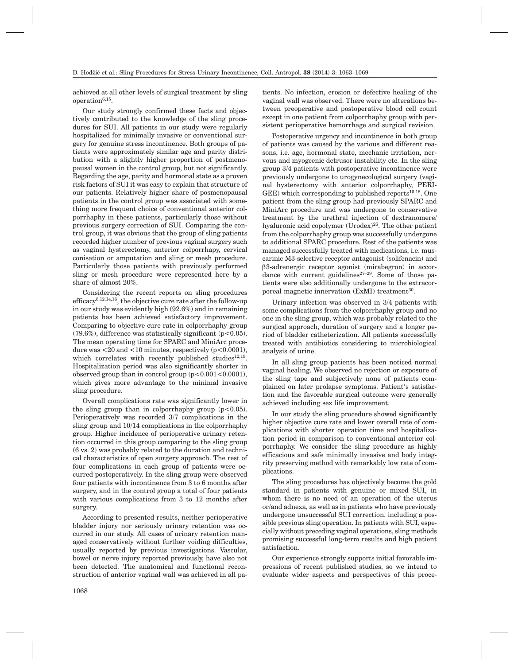achieved at all other levels of surgical treatment by sling operation $6,15$ .

Our study strongly confirmed these facts and objectively contributed to the knowledge of the sling procedures for SUI. All patients in our study were regularly hospitalized for minimally invasive or conventional surgery for genuine stress incontinence. Both groups of patients were approximately similar age and parity distribution with a slightly higher proportion of postmenopausal women in the control group, but not significantly. Regarding the age, parity and hormonal state as a proven risk factors of SUI it was easy to explain that structure of our patients. Relatively higher share of posmenopausal patients in the control group was associated with something more frequent choice of conventional anterior colporrhaphy in these patients, particularly those without previous surgery correction of SUI. Comparing the control group, it was obvious that the group of sling patients recorded higher number of previous vaginal surgery such as vaginal hysterectomy, anterior colporrhapy, cervical conisation or amputation and sling or mesh procedure. Particularly those patients with previously performed sling or mesh procedure were represented here by a share of almost 20%.

Considering the recent reports on sling procedures efficacy<sup>6,12,14,16</sup>, the objective cure rate after the follow-up in our study was evidently high (92.6%) and in remaining patients has been achieved satisfactory improvement. Comparing to objective cure rate in colporrhaphy group  $(79.6\%)$ , difference was statistically significant (p<0.05). The mean operating time for SPARC and MiniArc procedure was  $\langle 20 \text{ and } \langle 10 \text{ minutes} \rangle$ , respectively (p $\langle 0.0001 \rangle$ ), which correlates with recently published studies $12,19$ . Hospitalization period was also significantly shorter in observed group than in control group  $(p<0.001<0.0001)$ . which gives more advantage to the minimal invasive sling procedure.

Overall complications rate was significantly lower in the sling group than in colporrhaphy group  $(p<0.05)$ . Perioperatively was recorded 3/7 complications in the sling group and 10/14 complications in the colporrhaphy group. Higher incidence of perioperative urinary retention occurred in this group comparing to the sling group (6 vs. 2) was probably related to the duration and technical characteristics of open surgery approach. The rest of four complications in each group of patients were occurred postoperatively. In the sling group were observed four patients with incontinence from 3 to 6 months after surgery, and in the control group a total of four patients with various complications from 3 to 12 months after surgery.

According to presented results, neither perioperative bladder injury nor seriously urinary retention was occurred in our study. All cases of urinary retention managed conservatively without further voiding difficulties, usually reported by previous investigations. Vascular, bowel or nerve injury reported previously, have also not been detected. The anatomical and functional reconstruction of anterior vaginal wall was achieved in all pa-

tients. No infection, erosion or defective healing of the vaginal wall was observed. There were no alterations between preoperative and postoperative blood cell count except in one patient from colporrhaphy group with persistent perioperative hemorrhage and surgical revision.

Postoperative urgency and incontinence in both group of patients was caused by the various and different reasons, i.e. age, hormonal state, mechanic irritation, nervous and myogcenic detrusor instability etc. In the sling group 3/4 patients with postoperative incontinence were previously undergone to urogynecological surgery (vaginal hysterectomy with anterior colporrhaphy, PERI-GEE) which corresponding to published reports<sup>15,18</sup>. One patient from the sling group had previously SPARC and MiniArc procedure and was undergone to conservative treatment by the urethral injection of dextranomere/ hyaluronic acid copolymer (Urodex)<sup>26</sup>. The other patient from the colporrhaphy group was successfully undergone to additional SPARC procedure. Rest of the patients was managed successfully treated with medications, i.e. muscarinic M3*-*selective receptor antagonist (solifenacin) and b3-adrenergi*c* receptor agonist (mirabegron) in accordance with current guidelines $27-29$ . Some of those patients were also additionally undergone to the extracorporeal magnetic innervation (ExMI) treatment<sup>30</sup>.

Urinary infection was observed in 3/4 patients with some complications from the colporrhaphy group and no one in the sling group, which was probably related to the surgical approach, duration of surgery and a longer period of bladder catheterization. All patients successfully treated with antibiotics considering to microbiological analysis of urine.

In all sling group patients has been noticed normal vaginal healing. We observed no rejection or exposure of the sling tape and subjectively none of patients complained on later prolapse symptoms. Patient's satisfaction and the favorable surgical outcome were generally achieved including sex life improvement.

In our study the sling procedure showed significantly higher objective cure rate and lower overall rate of complications with shorter operation time and hospitalization period in comparison to conventional anterior colporrhaphy. We consider the sling procedure as highly efficacious and safe minimally invasive and body integrity preserving method with remarkably low rate of complications.

The sling procedures has objectively become the gold standard in patients with genuine or mixed SUI, in whom there is no need of an operation of the uterus or/and adnexa, as well as in patients who have previously undergone unsuccessful SUI correction, including a possible previous sling operation. In patients with SUI, especially without preceding vaginal operations, sling methods promising successful long-term results and high patient satisfaction.

Our experience strongly supports initial favorable impressions of recent published studies, so we intend to evaluate wider aspects and perspectives of this proce